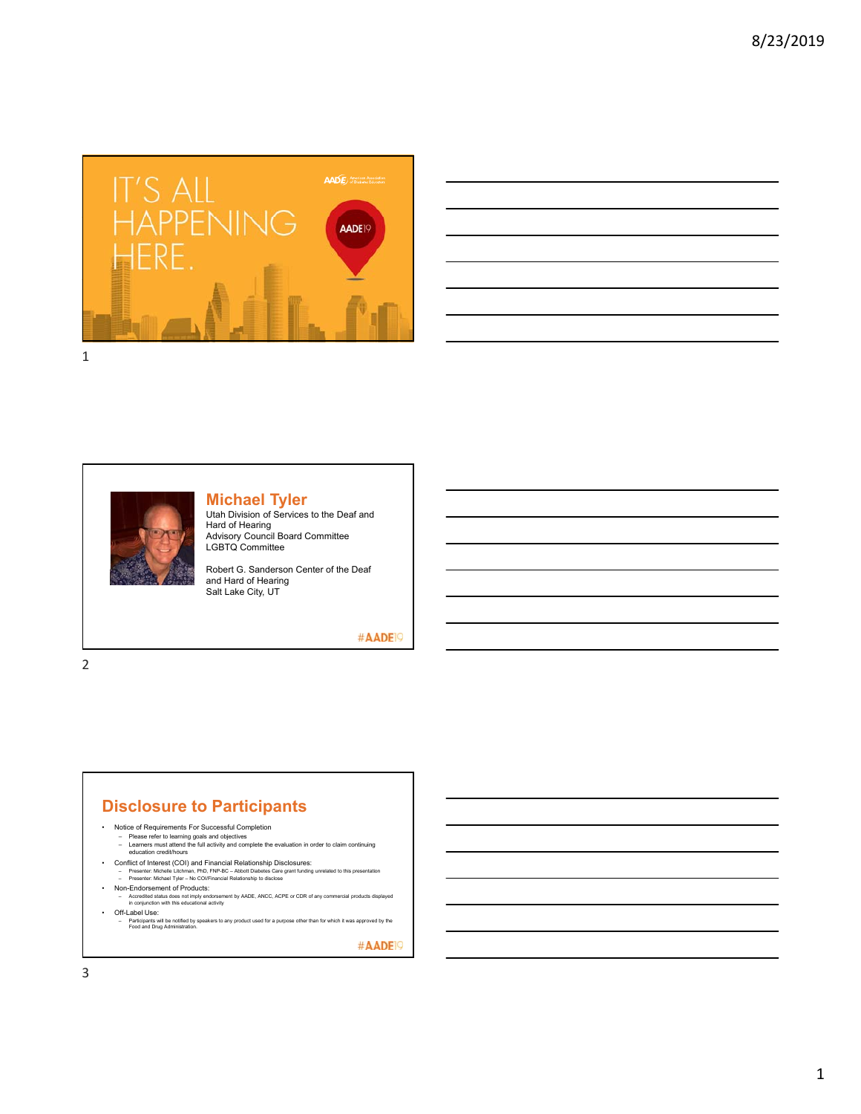

| <u> 1989 - Andrea Andrew Maria (h. 1989).</u>                                                                         |  |  |
|-----------------------------------------------------------------------------------------------------------------------|--|--|
| and the control of the control of the control of the control of the control of the control of the control of the      |  |  |
| <u> 1989 - Johann Stoff, deutscher Stoffen und der Stoffen und der Stoffen und der Stoffen und der Stoffen und de</u> |  |  |
| and the control of the control of the control of the control of the control of the control of the control of the      |  |  |
| <u> 1989 - Andrea Santa Andrea Andrea Andrea Andrea Andrea Andrea Andrea Andrea Andrea Andrea Andrea Andrea Andr</u>  |  |  |
| the contract of the contract of the                                                                                   |  |  |



#### **Michael Tyler**

Utah Division of Services to the Deaf and Hard of Hearing Advisory Council Board Committee LGBTQ Committee

Robert G. Sanderson Center of the Deaf and Hard of Hearing Salt Lake City, UT

#AADE<sup>19</sup>

2

# **Disclosure to Participants**

- Notice of Requirements For Successful Completion
	- Please refer to learning goals and objectives Learners must attend the full activity and complete the evaluation in order to claim continuing education credit/hours
	-
- Conflict of Interest (COI) and Financial Relationship Disclosures:
	- Presenter: Michelle Litchman, PhD, FNP-BC Abbott Diabetes Care grant funding unrelated to this presentation Presenter: Michael Tyler No COI/Financial Relationship to disclose
- Non-Endorsement of Products:
- Accredited status does not imply endorsement by AADE, ANCC, ACPE or CDR of any commercial products displayed in conjunction with this educational activity
- 
- Off-Label Use: Participants will be notified by speakers to any product used for a purpose other than for which it was approved by the Food and Drug Administration.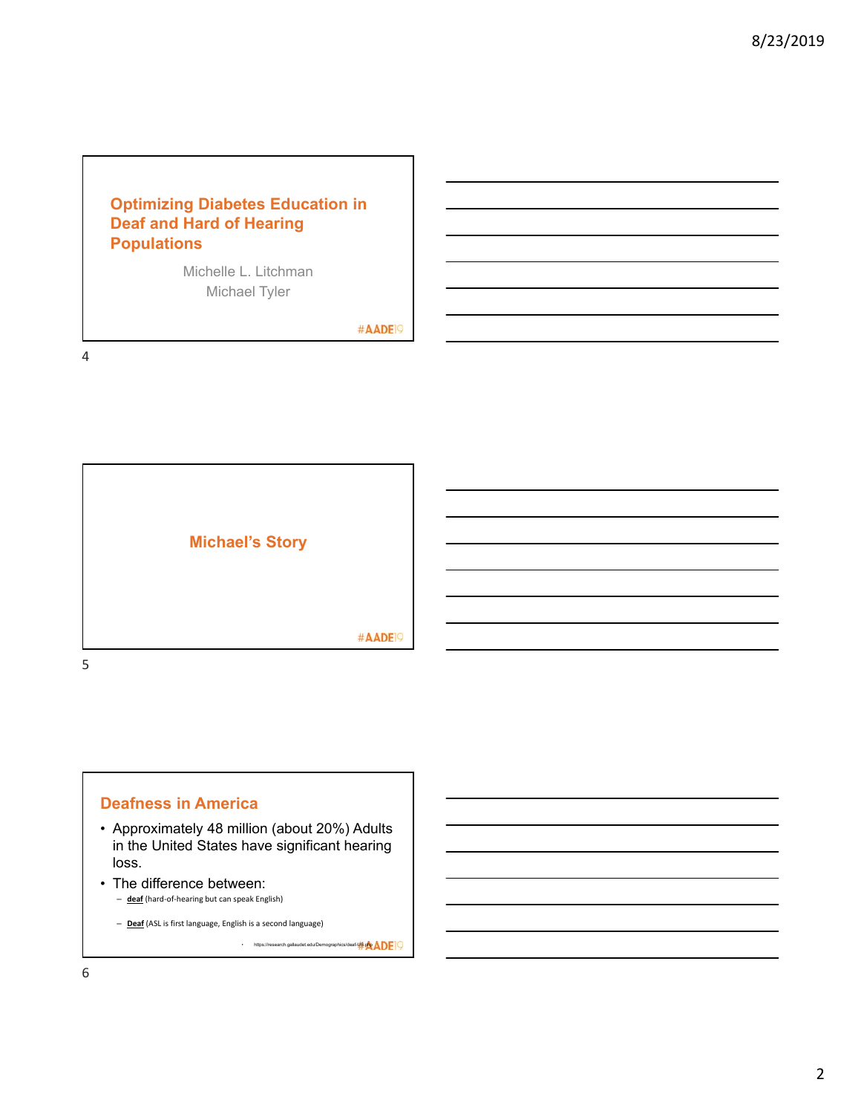# **Optimizing Diabetes Education in Deaf and Hard of Hearing Populations**

Michelle L. Litchman Michael Tyler

#AADE<sup>19</sup>

4





- Approximately 48 million (about 20%) Adults in the United States have significant hearing loss.
- The difference between:<br>- <u>deaf</u> (hard-of-hearing but can speak English)

– **Deaf** (ASL is first language, English is a second language)

• https://research.gallaudet.edu/Demographics/deaf-US.php $\mathsf{AP}$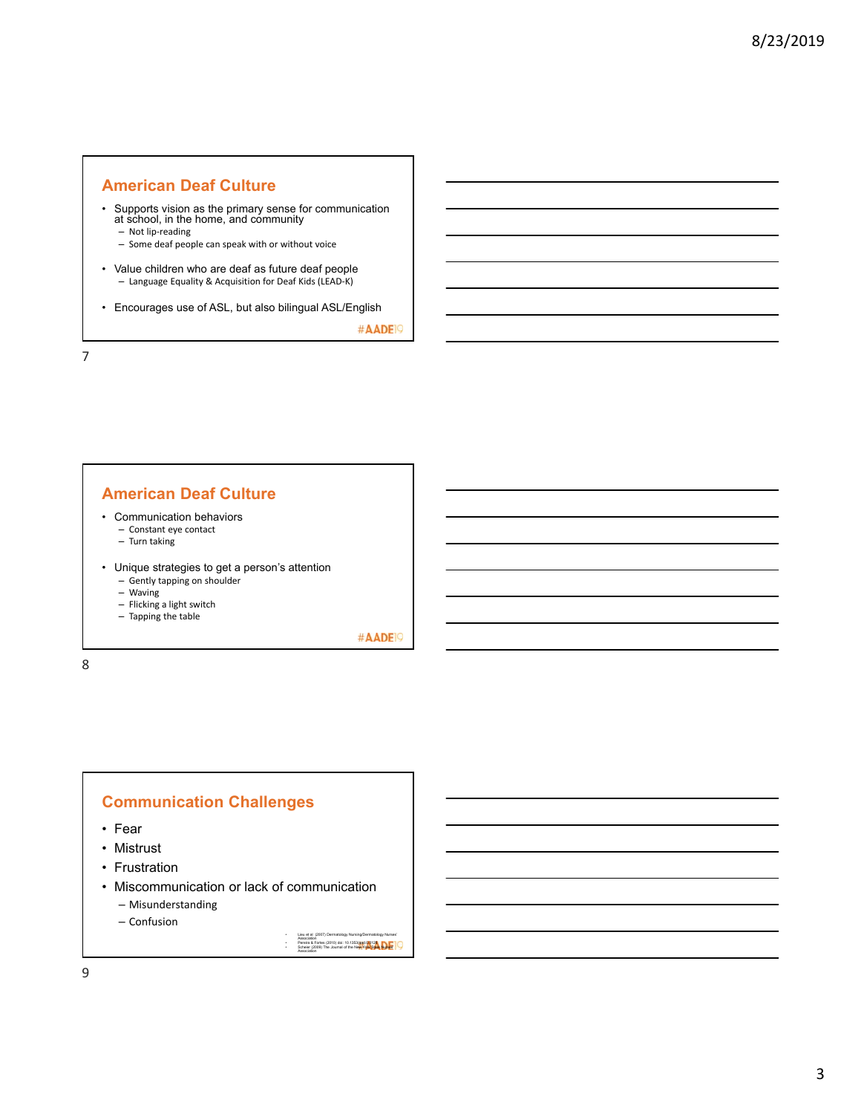#### **American Deaf Culture**

- Supports vision as the primary sense for communication at school, in the home, and community
	- Not lip‐reading
	- Some deaf people can speak with or without voice
- Value children who are deaf as future deaf people – Language Equality & Acquisition for Deaf Kids (LEAD‐K)
- Encourages use of ASL, but also bilingual ASL/English

#AADE<sup>19</sup>

7

#### **American Deaf Culture**

- Communication behaviors
	- Constant eye contact
	- Turn taking
- Unique strategies to get a person's attention
	- Gently tapping on shoulder
	- Waving
	- Flicking a light switch
	- Tapping the table

#AADE<sup>19</sup>

8

#### **Communication Challenges**

- Fear
- Mistrust
- Frustration
- Miscommunication or lack of communication
	- Misunderstanding

– Confusion

• Lieu et al (2007) Dermatology Nursing/Dermatology Nurses'<br>• Pereira & Fortes (2010) doi: 10.1353/aad.0.0128<br>• Scheier (2009) The Journal of the New York State Nurses'<br>Association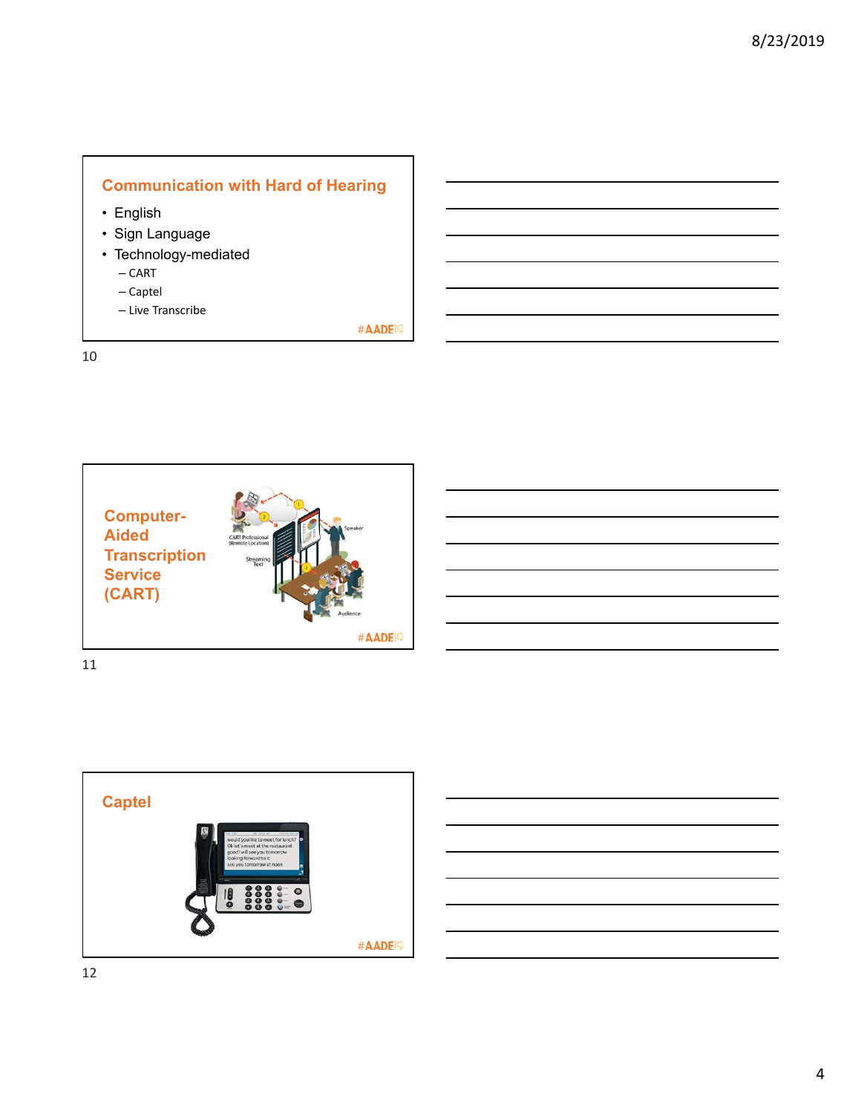# **Communication with Hard of Hearing**

- English
- Sign Language
- Technology-mediated
	- CART
	- Captel
	- Live Transcribe

#AADE<sup>19</sup>

10





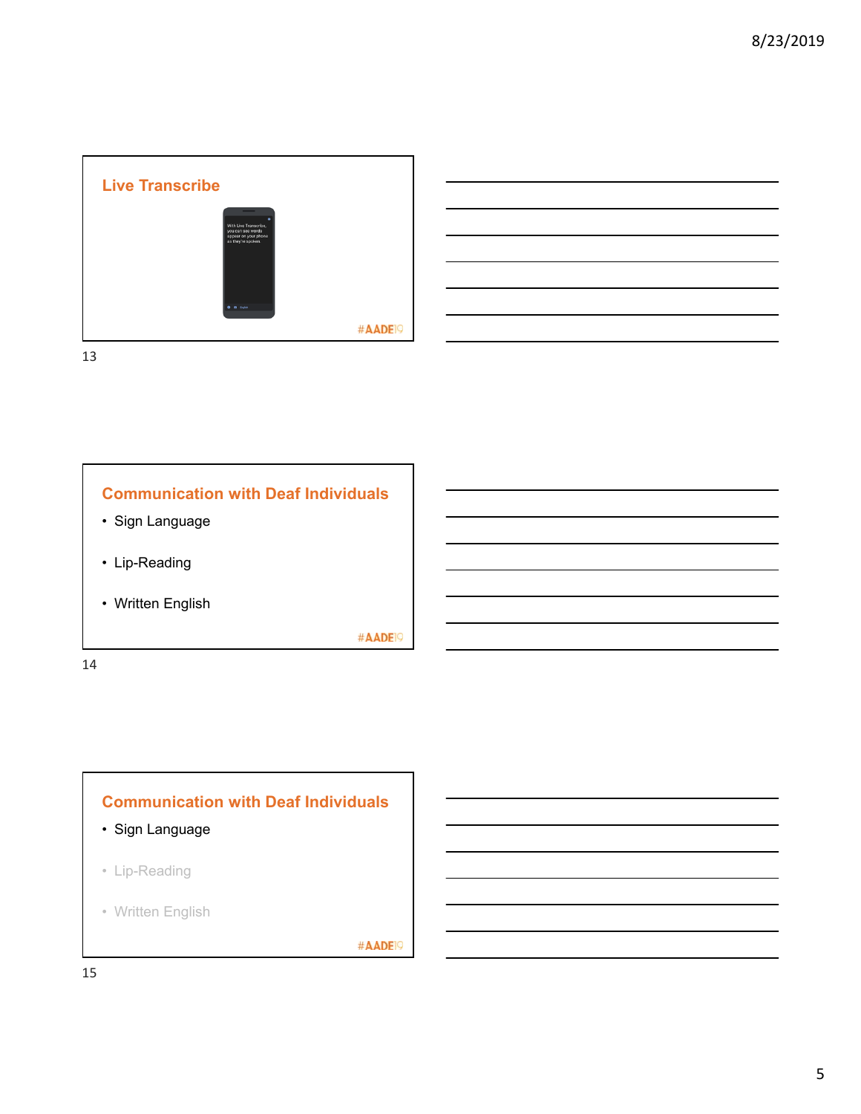



# **Communication with Deaf Individuals**

- Sign Language
- Lip-Reading
- Written English

#AADE<sup>19</sup>

14

# **Communication with Deaf Individuals**

- Sign Language
- Lip-Reading
- Written English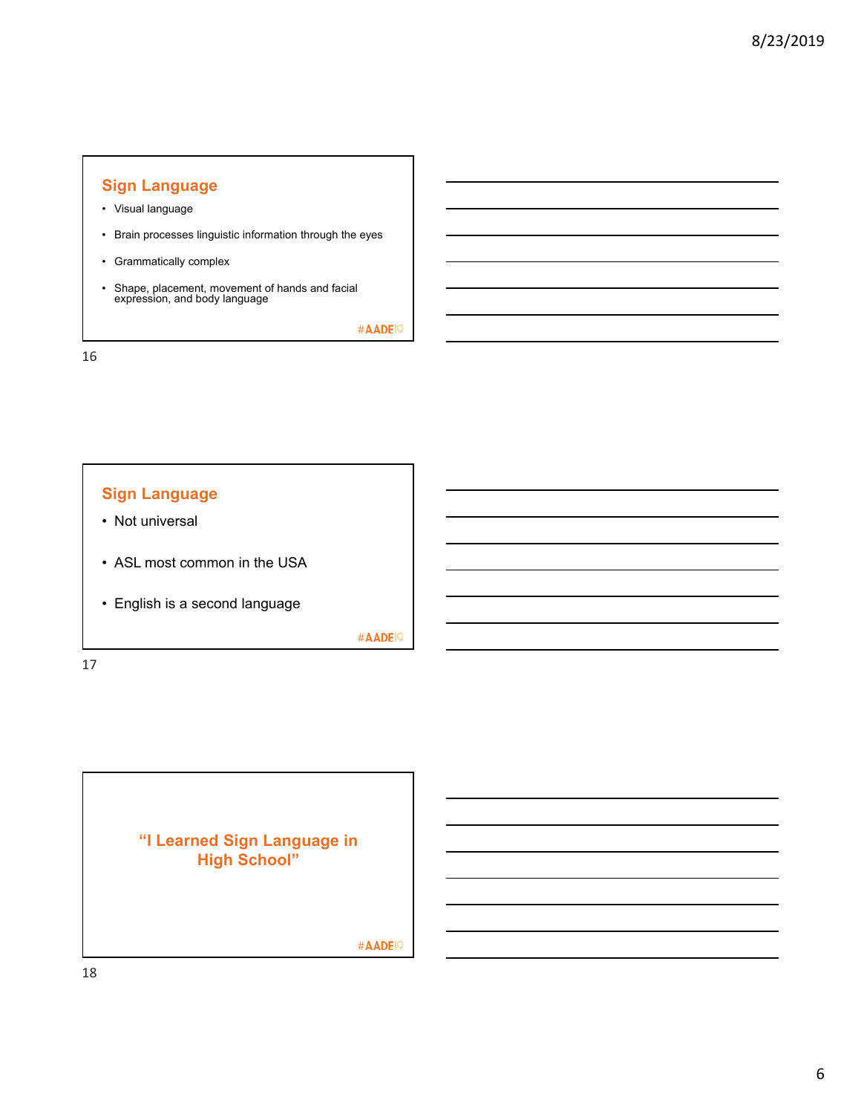# **Sign Language**

- Visual language
- Brain processes linguistic information through the eyes
- Grammatically complex
- Shape, placement, movement of hands and facial expression, and body language

#AADE<sup>19</sup>

16



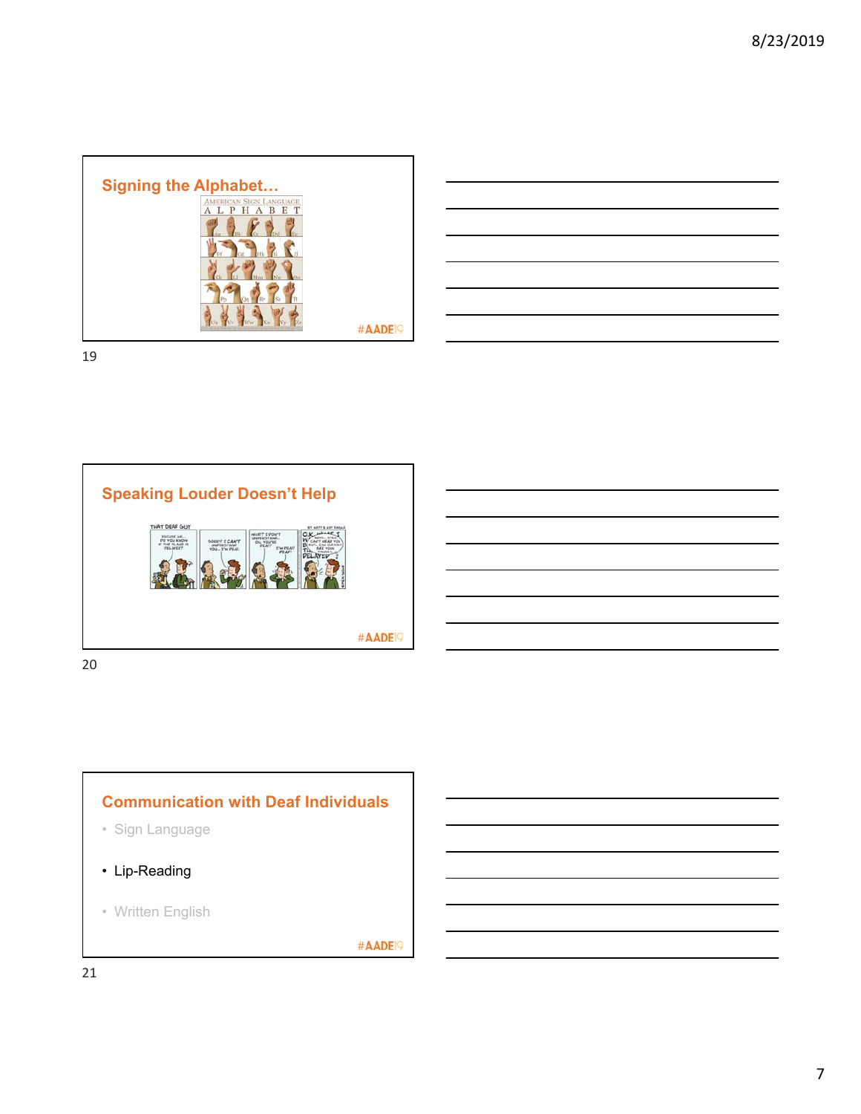

|                                                             | the contract of the contract of the contract of the contract of the contract of  |  |  |
|-------------------------------------------------------------|----------------------------------------------------------------------------------|--|--|
|                                                             |                                                                                  |  |  |
| <u> 1989 - Johann Stoff, amerikansk politiker (d. 1989)</u> |                                                                                  |  |  |
|                                                             |                                                                                  |  |  |
|                                                             | ,我们也不会有什么。""我们的人,我们也不会有什么?""我们的人,我们也不会有什么?""我们的人,我们也不会有什么?""我们的人,我们也不会有什么?""我们的人 |  |  |
|                                                             | ,我们也不会有什么?""我们的人,我们也不会有什么?""我们的人,我们也不会有什么?""我们的人,我们也不会有什么?""我们的人,我们也不会有什么?""我们的人 |  |  |
|                                                             |                                                                                  |  |  |

19



# **Communication with Deaf Individuals**

- Sign Language
- Lip-Reading
- Written English

#AADE<sup>19</sup>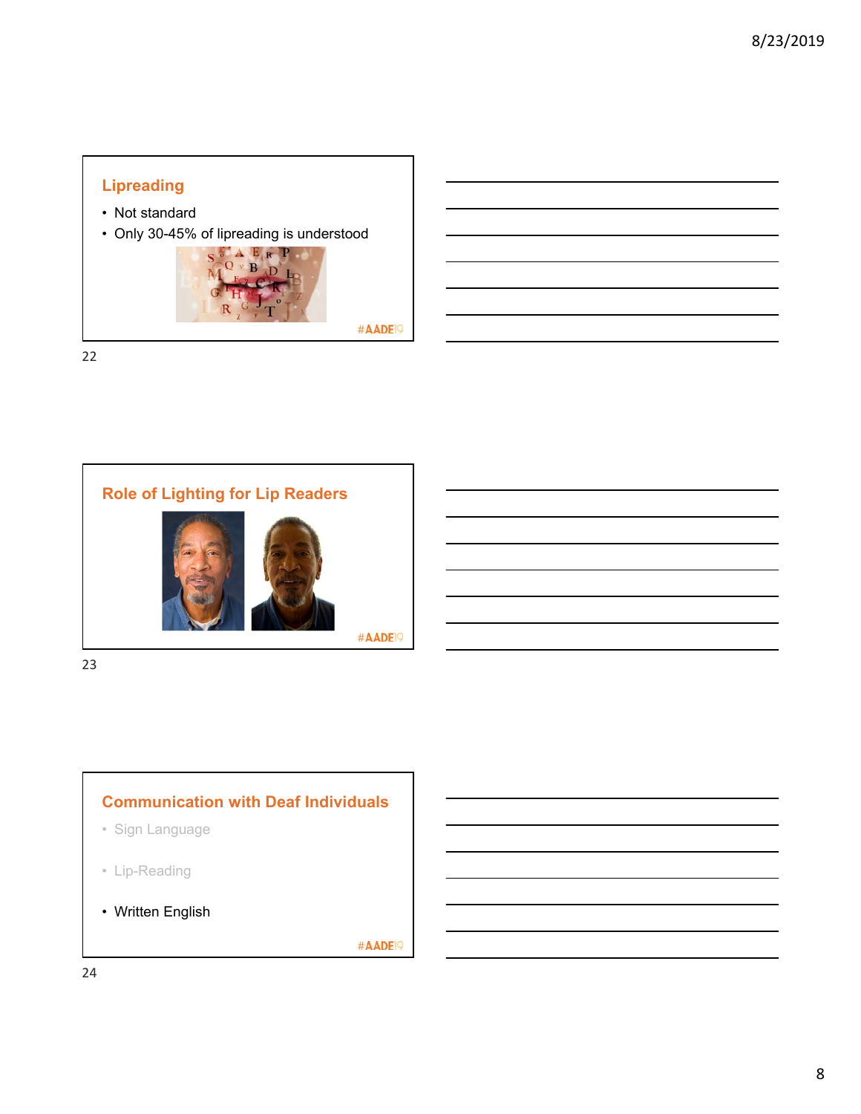# **Lipreading**

- Not standard
- Only 30-45% of lipreading is understood



22



23

# **Communication with Deaf Individuals**

- Sign Language
- Lip-Reading
- Written English

#AADE<sup>19</sup>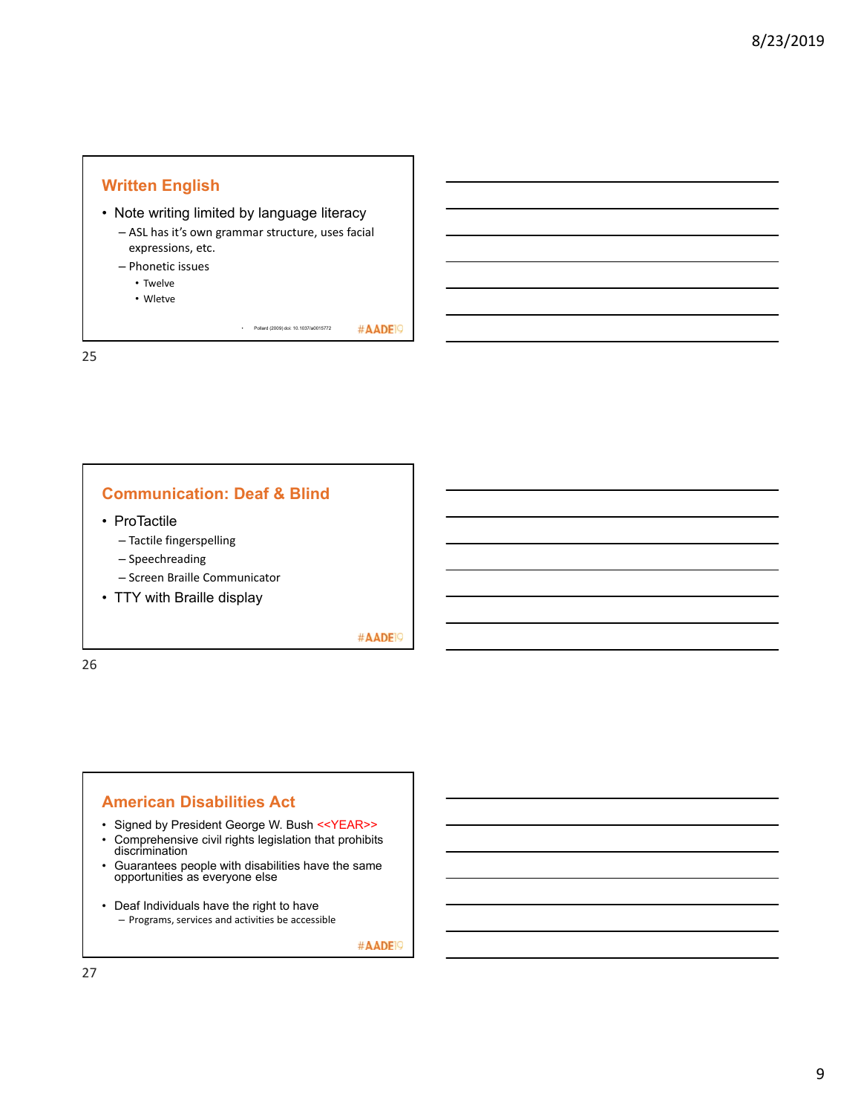## **Written English**

- Note writing limited by language literacy
	- ASL has it's own grammar structure, uses facial expressions, etc.
	- Phonetic issues
		- Twelve
		- Wletve

#AADE<sup>19</sup> • Pollard (2009) doi: 10.1037/a0015772

25

# **Communication: Deaf & Blind**

- ProTactile
	- Tactile fingerspelling
	- Speechreading
	- Screen Braille Communicator
- TTY with Braille display

#AADE<sup>19</sup>

26

#### **American Disabilities Act**

- Signed by President George W. Bush <<YEAR>>
- Comprehensive civil rights legislation that prohibits discrimination
- Guarantees people with disabilities have the same opportunities as everyone else
- Deaf Individuals have the right to have – Programs, services and activities be accessible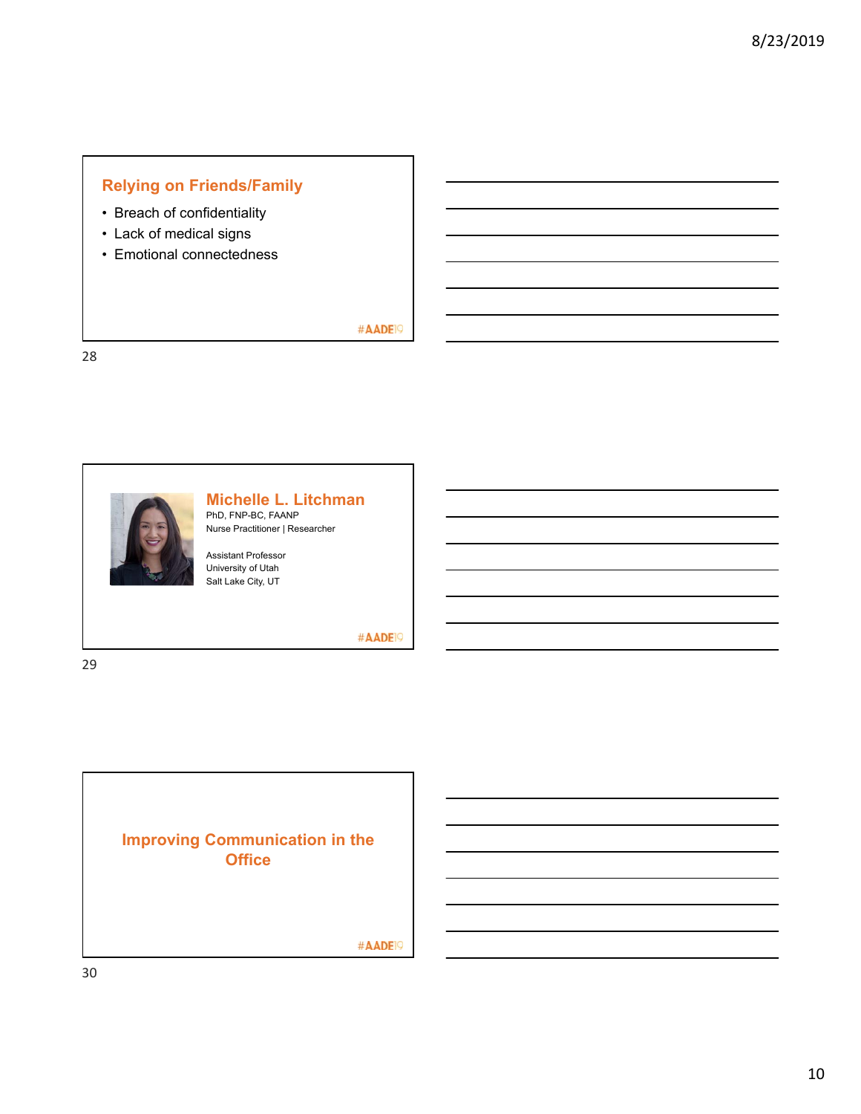# **Relying on Friends/Family**

- Breach of confidentiality
- Lack of medical signs
- Emotional connectedness

### #AADE<sup>19</sup>

28



# **Michelle L. Litchman**

PhD, FNP-BC, FAANP Nurse Practitioner | Researcher

Assistant Professor University of Utah Salt Lake City, UT

#AADE<sup>19</sup>

**Improving Communication in the Office** #AADE<sup>19</sup>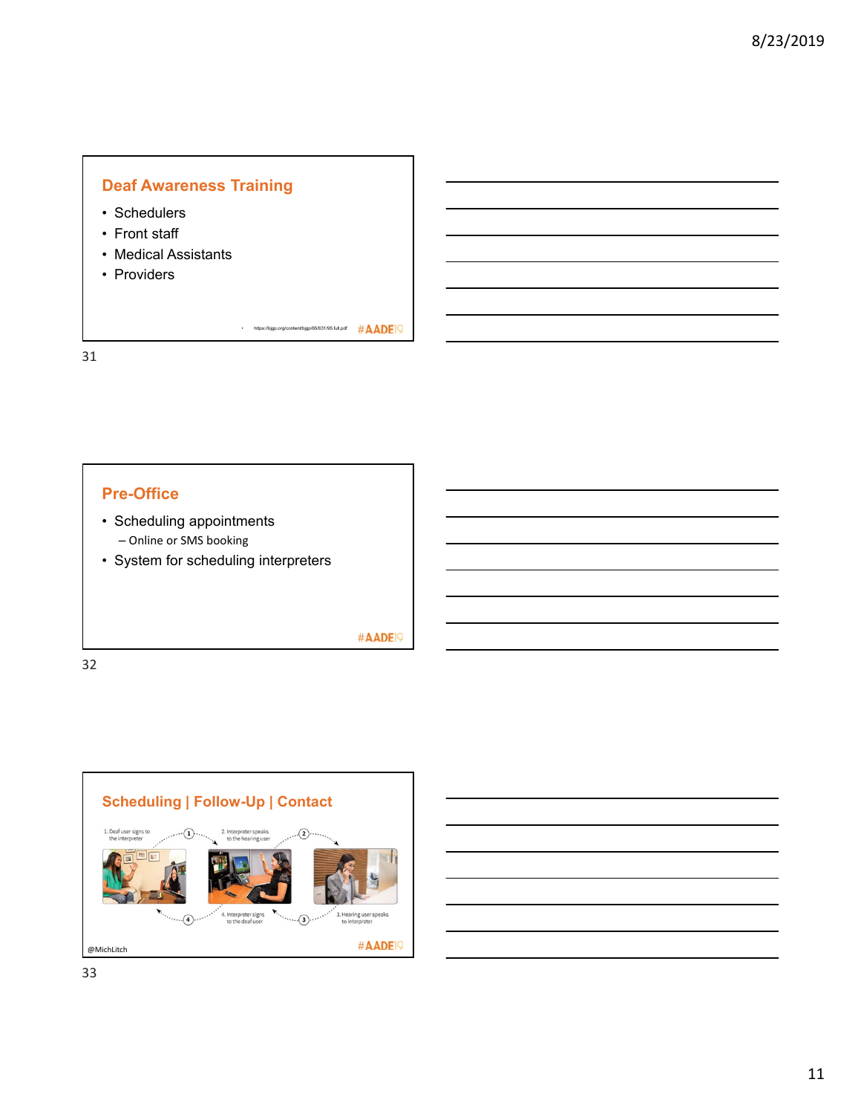# **Deaf Awareness Training** • Schedulers • Front staff • Medical Assistants • Providers

• https://bjgp.org/content/bjgp/65/631/95.full.pdf  $\#$  ADE

# **Pre-Office**

- Scheduling appointments – Online or SMS booking
- System for scheduling interpreters

#AADE<sup>19</sup>

32

31

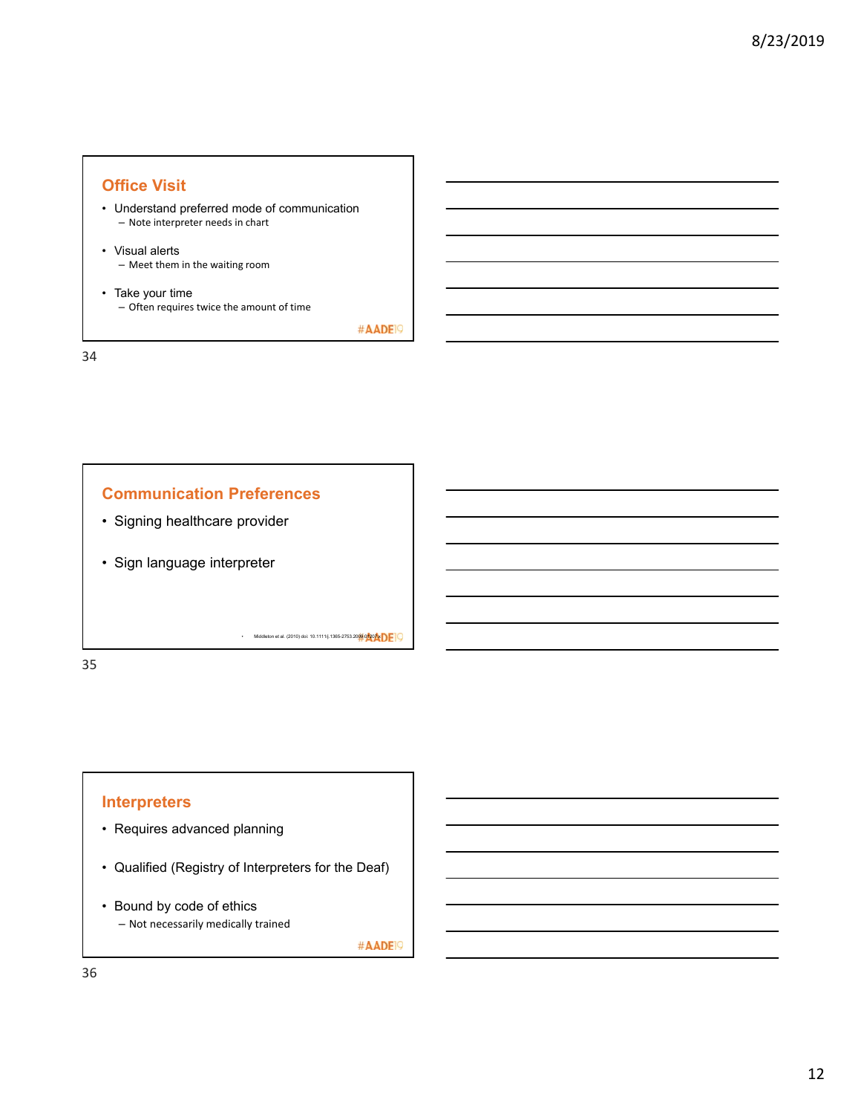#### **Office Visit**

- Understand preferred mode of communication – Note interpreter needs in chart
- Visual alerts – Meet them in the waiting room
- Take your time – Often requires twice the amount of time

#AADE<sup>19</sup>

34



35

#### **Interpreters**

- Requires advanced planning
- Qualified (Registry of Interpreters for the Deaf)
- Bound by code of ethics – Not necessarily medically trained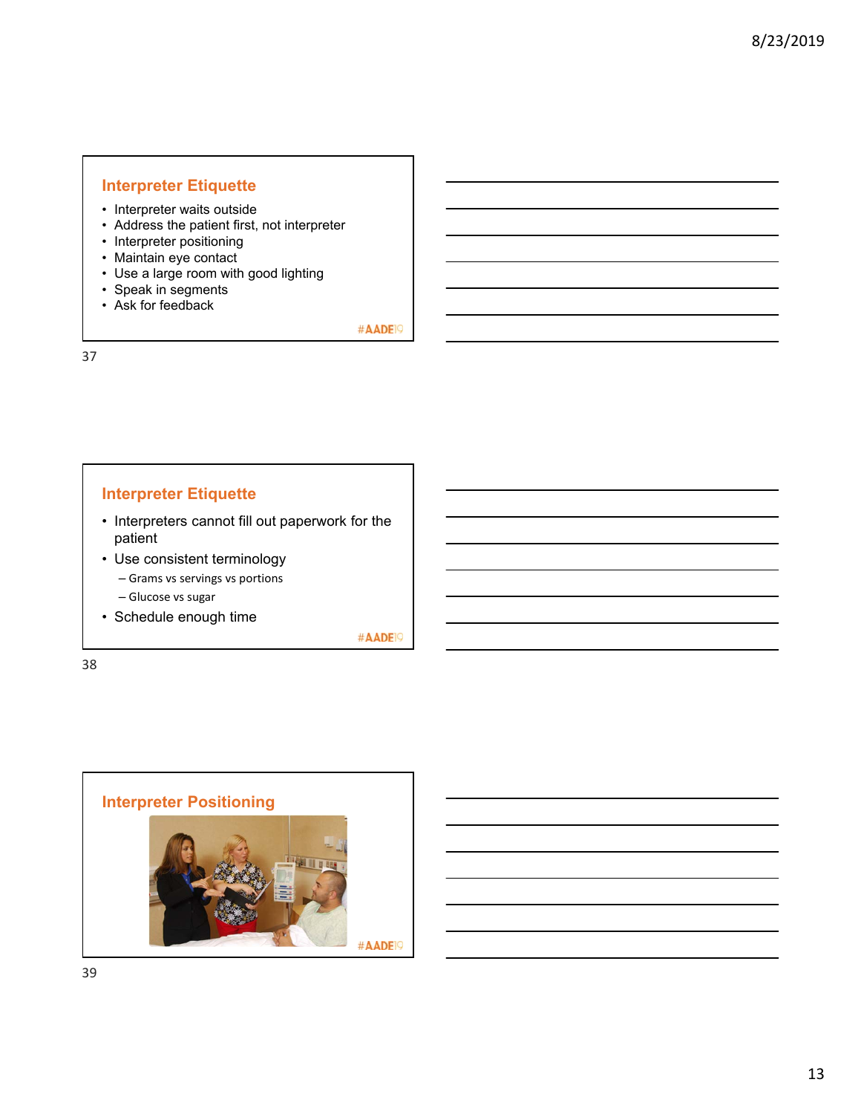#### **Interpreter Etiquette**

- Interpreter waits outside
- Address the patient first, not interpreter
- Interpreter positioning
- Maintain eye contact
- Use a large room with good lighting
- Speak in segments
- Ask for feedback

#AADE<sup>19</sup>

37

#### **Interpreter Etiquette**

- Interpreters cannot fill out paperwork for the patient
- Use consistent terminology
	- Grams vs servings vs portions
	- Glucose vs sugar
- Schedule enough time

#AADE<sup>19</sup>

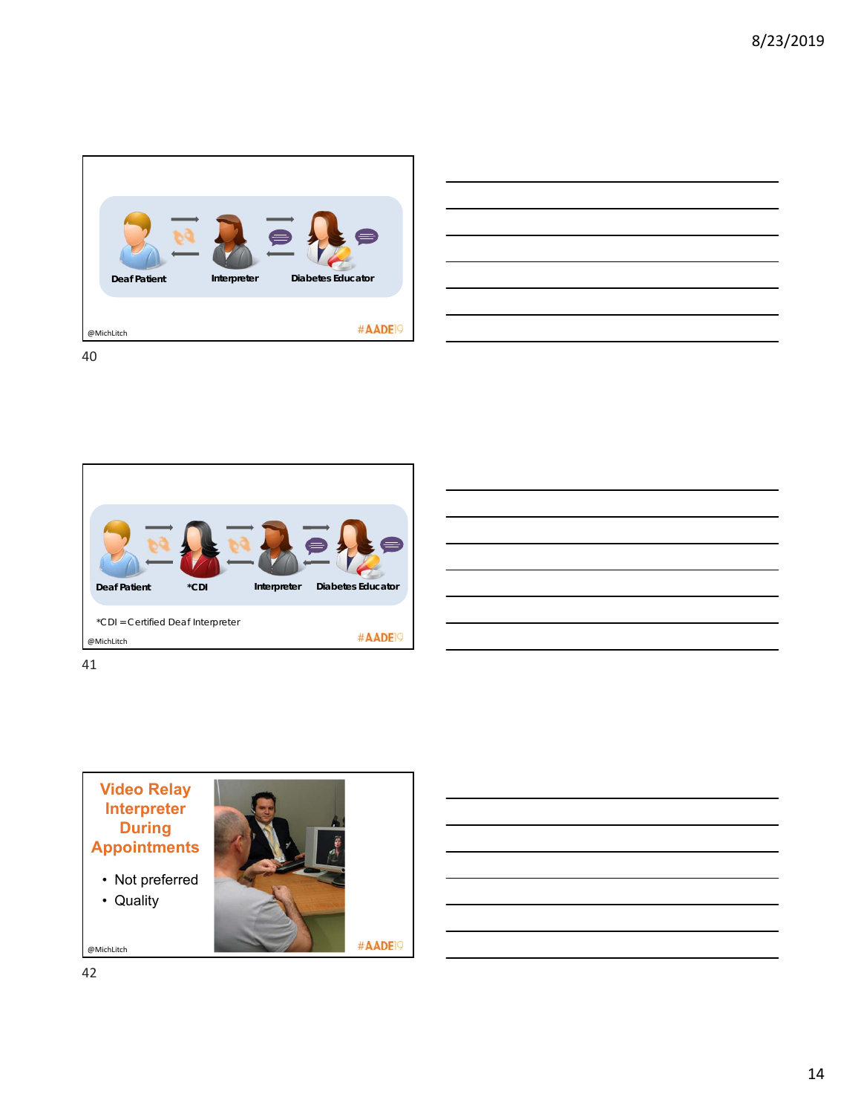





41

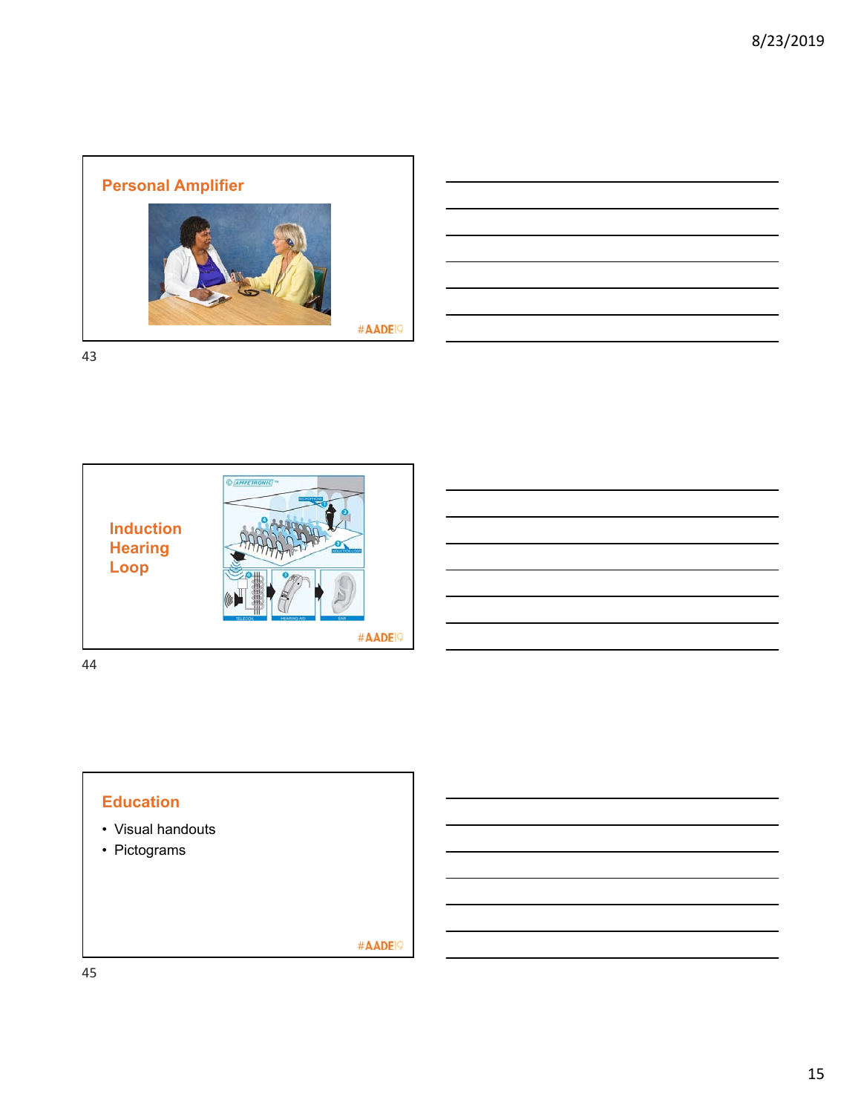

| the contract of the contract of the contract of the contract of the contract of the contract of the contract of      |  |
|----------------------------------------------------------------------------------------------------------------------|--|
| <u> 1989 - Andrea Andrew Maria (h. 1989).</u>                                                                        |  |
| <u> Liberal Andrew Maria (1989)</u>                                                                                  |  |
|                                                                                                                      |  |
| <u> 1989 - Andrea Santa Andrea Andrea Andrea Andrea Andrea Andrea Andrea Andrea Andrea Andrea Andrea Andrea Andr</u> |  |
|                                                                                                                      |  |
|                                                                                                                      |  |

43





- Visual handouts
- Pictograms

#AADE<sup>19</sup>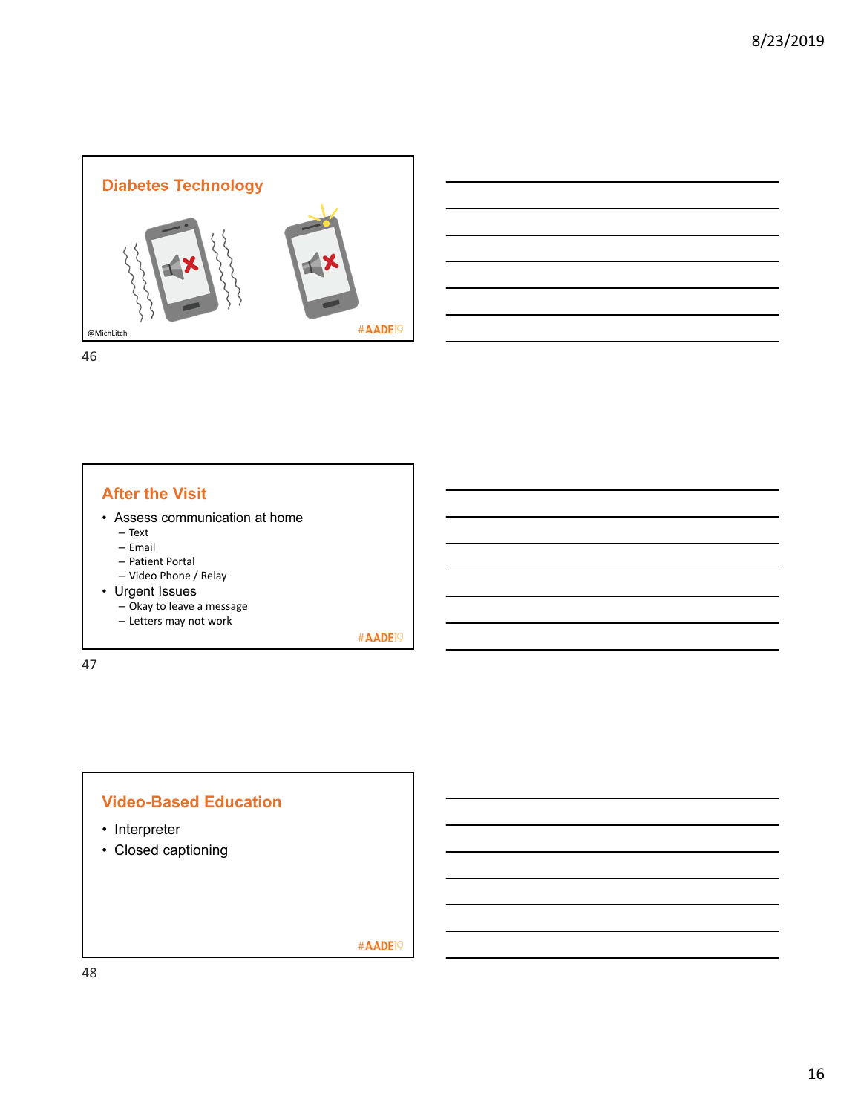



46

#### **After the Visit**

- Assess communication at home
	- Text
	- Email
	- Patient Portal
	- Video Phone / Relay
- Urgent Issues
	- Okay to leave a message
	- Letters may not work

#AADE<sup>19</sup>

47

#### **Video-Based Education**

- Interpreter
- Closed captioning